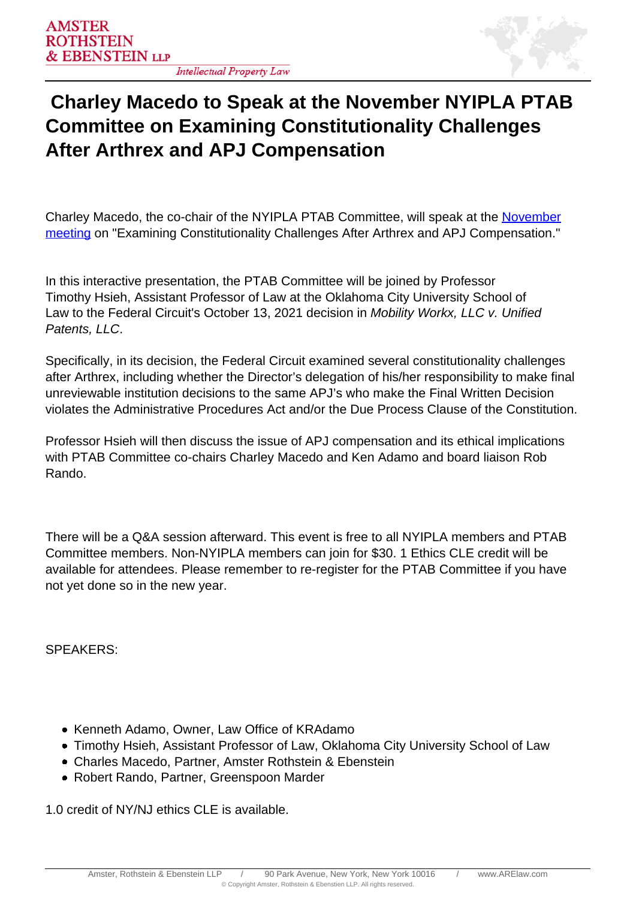

## **Charley Macedo to Speak at the November NYIPLA PTAB Committee on Examining Constitutionality Challenges After Arthrex and APJ Compensation**

Charley Macedo, the co-chair of the NYIPLA PTAB Committee, will speak at the [November](https://www.nyipla.org/assnfe/ev.asp?ID=1406) [meeting](https://www.nyipla.org/assnfe/ev.asp?ID=1406) on "Examining Constitutionality Challenges After Arthrex and APJ Compensation."

In this interactive presentation, the PTAB Committee will be joined by Professor Timothy Hsieh, Assistant Professor of Law at the Oklahoma City University School of Law to the Federal Circuit's October 13, 2021 decision in Mobility Workx, LLC v. Unified Patents, LLC.

Specifically, in its decision, the Federal Circuit examined several constitutionality challenges after Arthrex, including whether the Director's delegation of his/her responsibility to make final unreviewable institution decisions to the same APJ's who make the Final Written Decision violates the Administrative Procedures Act and/or the Due Process Clause of the Constitution.

Professor Hsieh will then discuss the issue of APJ compensation and its ethical implications with PTAB Committee co-chairs Charley Macedo and Ken Adamo and board liaison Rob Rando.

There will be a Q&A session afterward. This event is free to all NYIPLA members and PTAB Committee members. Non-NYIPLA members can join for \$30. 1 Ethics CLE credit will be available for attendees. Please remember to re-register for the PTAB Committee if you have not yet done so in the new year.

SPEAKERS:

- Kenneth Adamo, Owner, Law Office of KRAdamo
- Timothy Hsieh, Assistant Professor of Law, Oklahoma City University School of Law
- Charles Macedo, Partner, Amster Rothstein & Ebenstein
- Robert Rando, Partner, Greenspoon Marder

1.0 credit of NY/NJ ethics CLE is available.